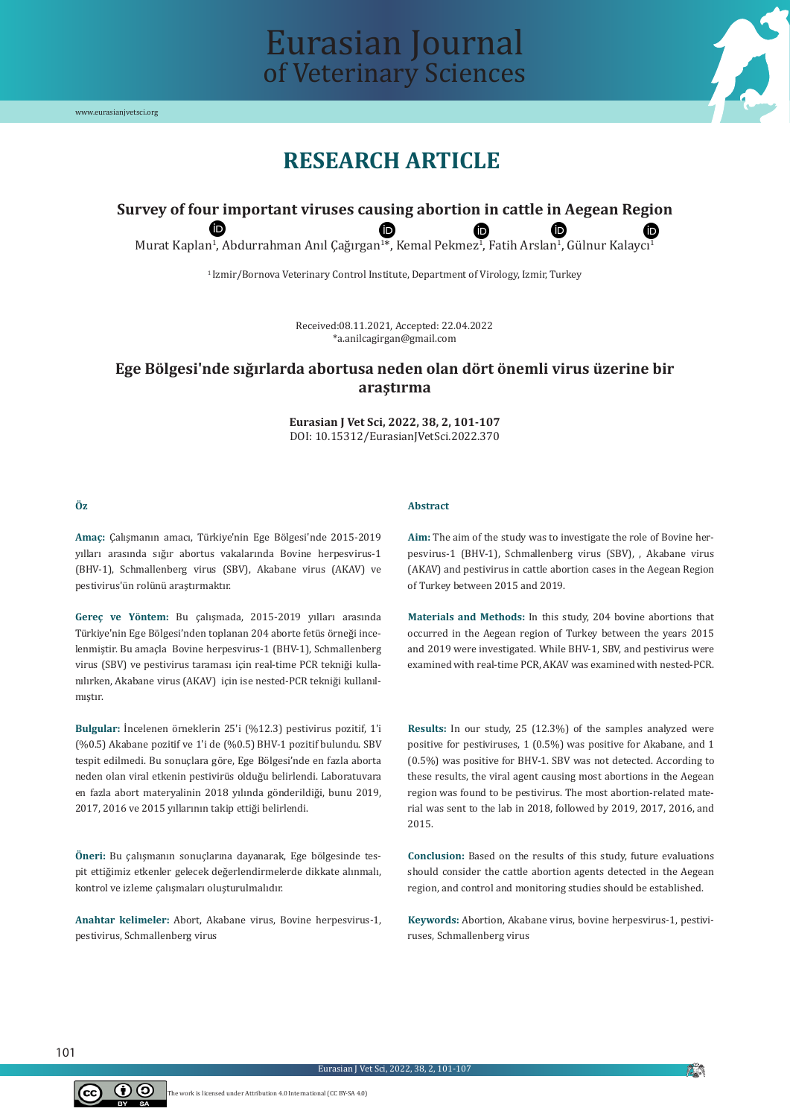

## **RESEARCH ARTICLE**

Eurasian Journal

of Veterinary Sciences

# **Survey of four important viruses causing abortion in cattle in Aegean Region**

Murat Kaplan<sup>1</sup>, Abdurrahman Anıl Çağırgan<sup>1\*</sup>, Kemal Pekmez<sup>1</sup>, Fatih Arslan<sup>1</sup>, Gülnur Kalaycı<sup>1</sup>

<sup>1</sup> Izmir/Bornova Veterinary Control Institute, Department of Virology, Izmir, Turkey

Received:08.11.2021, Accepted: 22.04.2022 \*a.anilcagirgan@gmail.com

### **Ege Bölgesi'nde sığırlarda abortusa neden olan dört önemli virus üzerine bir araştırma**

**Eurasian J Vet Sci, 2022, 38, 2, 101-107** DOI: 10.15312/EurasianJVetSci.2022.370

#### **Öz**

#### **Abstract**

**Amaç:** Çalışmanın amacı, Türkiye'nin Ege Bölgesi'nde 2015-2019 yılları arasında sığır abortus vakalarında Bovine herpesvirus-1 (BHV-1), Schmallenberg virus (SBV), Akabane virus (AKAV) ve pestivirus'ün rolünü araştırmaktır.

**Gereç ve Yöntem:** Bu çalışmada, 2015-2019 yılları arasında Türkiye'nin Ege Bölgesi'nden toplanan 204 aborte fetüs örneği incelenmiştir. Bu amaçla Bovine herpesvirus-1 (BHV-1), Schmallenberg virus (SBV) ve pestivirus taraması için real-time PCR tekniği kullanılırken, Akabane virus (AKAV) için ise nested-PCR tekniği kullanılmıştır.

**Bulgular:** İncelenen örneklerin 25'i (%12.3) pestivirus pozitif, 1'i (%0.5) Akabane pozitif ve 1'i de (%0.5) BHV-1 pozitif bulundu. SBV tespit edilmedi. Bu sonuçlara göre, Ege Bölgesi'nde en fazla aborta neden olan viral etkenin pestivirüs olduğu belirlendi. Laboratuvara en fazla abort materyalinin 2018 yılında gönderildiği, bunu 2019, 2017, 2016 ve 2015 yıllarının takip ettiği belirlendi.

**Öneri:** Bu çalışmanın sonuçlarına dayanarak, Ege bölgesinde tespit ettiğimiz etkenler gelecek değerlendirmelerde dikkate alınmalı, kontrol ve izleme çalışmaları oluşturulmalıdır.

**Anahtar kelimeler:** Abort, Akabane virus, Bovine herpesvirus-1, pestivirus, Schmallenberg virus

The work is licensed under Attribution 4.0 International (CC BY-SA 4.0)

**Aim:** The aim of the study was to investigate the role of Bovine herpesvirus-1 (BHV-1), Schmallenberg virus (SBV), , Akabane virus (AKAV) and pestivirus in cattle abortion cases in the Aegean Region of Turkey between 2015 and 2019.

**Materials and Methods:** In this study, 204 bovine abortions that occurred in the Aegean region of Turkey between the years 2015 and 2019 were investigated. While BHV-1, SBV, and pestivirus were examined with real-time PCR, AKAV was examined with nested-PCR.

**Results:** In our study, 25 (12.3%) of the samples analyzed were positive for pestiviruses, 1 (0.5%) was positive for Akabane, and 1 (0.5%) was positive for BHV-1. SBV was not detected. According to these results, the viral agent causing most abortions in the Aegean region was found to be pestivirus. The most abortion-related material was sent to the lab in 2018, followed by 2019, 2017, 2016, and 2015.

**Conclusion:** Based on the results of this study, future evaluations should consider the cattle abortion agents detected in the Aegean region, and control and monitoring studies should be established.

**Keywords:** Abortion, Akabane virus, bovine herpesvirus-1, pestiviruses, Schmallenberg virus



**AN**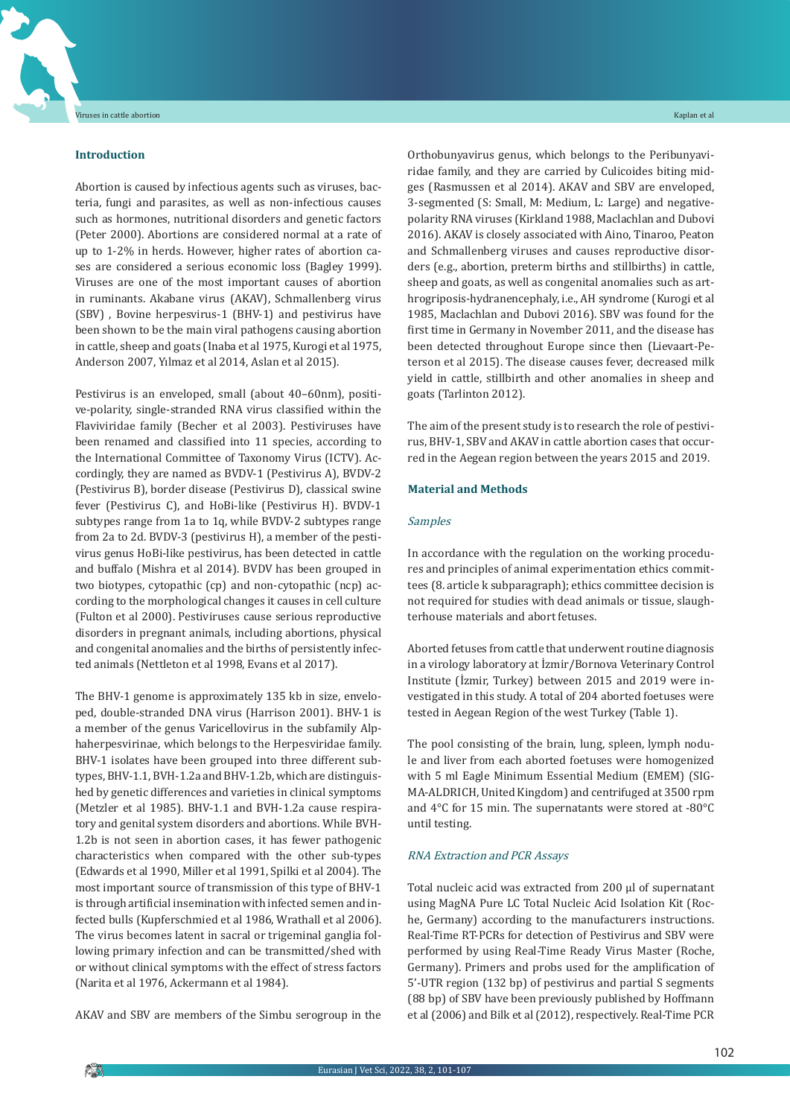#### **Introduction**

Abortion is caused by infectious agents such as viruses, bacteria, fungi and parasites, as well as non-infectious causes such as hormones, nutritional disorders and genetic factors (Peter 2000). Abortions are considered normal at a rate of up to 1-2% in herds. However, higher rates of abortion cases are considered a serious economic loss (Bagley 1999). Viruses are one of the most important causes of abortion in ruminants. Akabane virus (AKAV), Schmallenberg virus (SBV) , Bovine herpesvirus-1 (BHV-1) and pestivirus have been shown to be the main viral pathogens causing abortion in cattle, sheep and goats (Inaba et al 1975, Kurogi et al 1975, Anderson 2007, Yılmaz et al 2014, Aslan et al 2015).

Pestivirus is an enveloped, small (about 40–60nm), positive-polarity, single-stranded RNA virus classified within the Flaviviridae family (Becher et al 2003). Pestiviruses have been renamed and classified into 11 species, according to the International Committee of Taxonomy Virus (ICTV). Accordingly, they are named as BVDV-1 (Pestivirus A), BVDV-2 (Pestivirus B), border disease (Pestivirus D), classical swine fever (Pestivirus C), and HoBi-like (Pestivirus H). BVDV-1 subtypes range from 1a to 1q, while BVDV-2 subtypes range from 2a to 2d. BVDV-3 (pestivirus H), a member of the pestivirus genus HoBi-like pestivirus, has been detected in cattle and buffalo (Mishra et al 2014). BVDV has been grouped in two biotypes, cytopathic (cp) and non-cytopathic (ncp) according to the morphological changes it causes in cell culture (Fulton et al 2000). Pestiviruses cause serious reproductive disorders in pregnant animals, including abortions, physical and congenital anomalies and the births of persistently infected animals (Nettleton et al 1998, Evans et al 2017).

The BHV-1 genome is approximately 135 kb in size, enveloped, double-stranded DNA virus (Harrison 2001). BHV-1 is a member of the genus Varicellovirus in the subfamily Alphaherpesvirinae, which belongs to the Herpesviridae family. BHV-1 isolates have been grouped into three different subtypes, BHV-1.1, BVH-1.2a and BHV-1.2b, which are distinguished by genetic differences and varieties in clinical symptoms (Metzler et al 1985). BHV-1.1 and BVH-1.2a cause respiratory and genital system disorders and abortions. While BVH-1.2b is not seen in abortion cases, it has fewer pathogenic characteristics when compared with the other sub-types (Edwards et al 1990, Miller et al 1991, Spilki et al 2004). The most important source of transmission of this type of BHV-1 is through artificial insemination with infected semen and infected bulls (Kupferschmied et al 1986, Wrathall et al 2006). The virus becomes latent in sacral or trigeminal ganglia following primary infection and can be transmitted/shed with or without clinical symptoms with the effect of stress factors (Narita et al 1976, Ackermann et al 1984).

AKAV and SBV are members of the Simbu serogroup in the

Orthobunyavirus genus, which belongs to the Peribunyaviridae family, and they are carried by Culicoides biting midges (Rasmussen et al 2014). AKAV and SBV are enveloped, 3-segmented (S: Small, M: Medium, L: Large) and negativepolarity RNA viruses (Kirkland 1988, Maclachlan and Dubovi 2016). AKAV is closely associated with Aino, Tinaroo, Peaton and Schmallenberg viruses and causes reproductive disorders (e.g., abortion, preterm births and stillbirths) in cattle, sheep and goats, as well as congenital anomalies such as arthrogriposis-hydranencephaly, i.e., AH syndrome (Kurogi et al 1985, Maclachlan and Dubovi 2016). SBV was found for the first time in Germany in November 2011, and the disease has been detected throughout Europe since then (Lievaart-Peterson et al 2015). The disease causes fever, decreased milk yield in cattle, stillbirth and other anomalies in sheep and goats (Tarlinton 2012).

The aim of the present study is to research the role of pestivirus, BHV-1, SBV and AKAV in cattle abortion cases that occurred in the Aegean region between the years 2015 and 2019.

#### **Material and Methods**

#### Samples

In accordance with the regulation on the working procedures and principles of animal experimentation ethics committees (8. article k subparagraph); ethics committee decision is not required for studies with dead animals or tissue, slaughterhouse materials and abort fetuses.

Aborted fetuses from cattle that underwent routine diagnosis in a virology laboratory at İzmir/Bornova Veterinary Control Institute (İzmir, Turkey) between 2015 and 2019 were investigated in this study. A total of 204 aborted foetuses were tested in Aegean Region of the west Turkey (Table 1).

The pool consisting of the brain, lung, spleen, lymph nodule and liver from each aborted foetuses were homogenized with 5 ml Eagle Minimum Essential Medium (EMEM) (SIG-MA-ALDRICH, United Kingdom) and centrifuged at 3500 rpm and 4°C for 15 min. The supernatants were stored at -80°C until testing.

#### RNA Extraction and PCR Assays

Total nucleic acid was extracted from 200 µl of supernatant using MagNA Pure LC Total Nucleic Acid Isolation Kit (Roche, Germany) according to the manufacturers instructions. Real-Time RT-PCRs for detection of Pestivirus and SBV were performed by using Real-Time Ready Virus Master (Roche, Germany). Primers and probs used for the amplification of 5'-UTR region (132 bp) of pestivirus and partial S segments (88 bp) of SBV have been previously published by Hoffmann et al(2006) and Bilk et al(2012), respectively. Real-Time PCR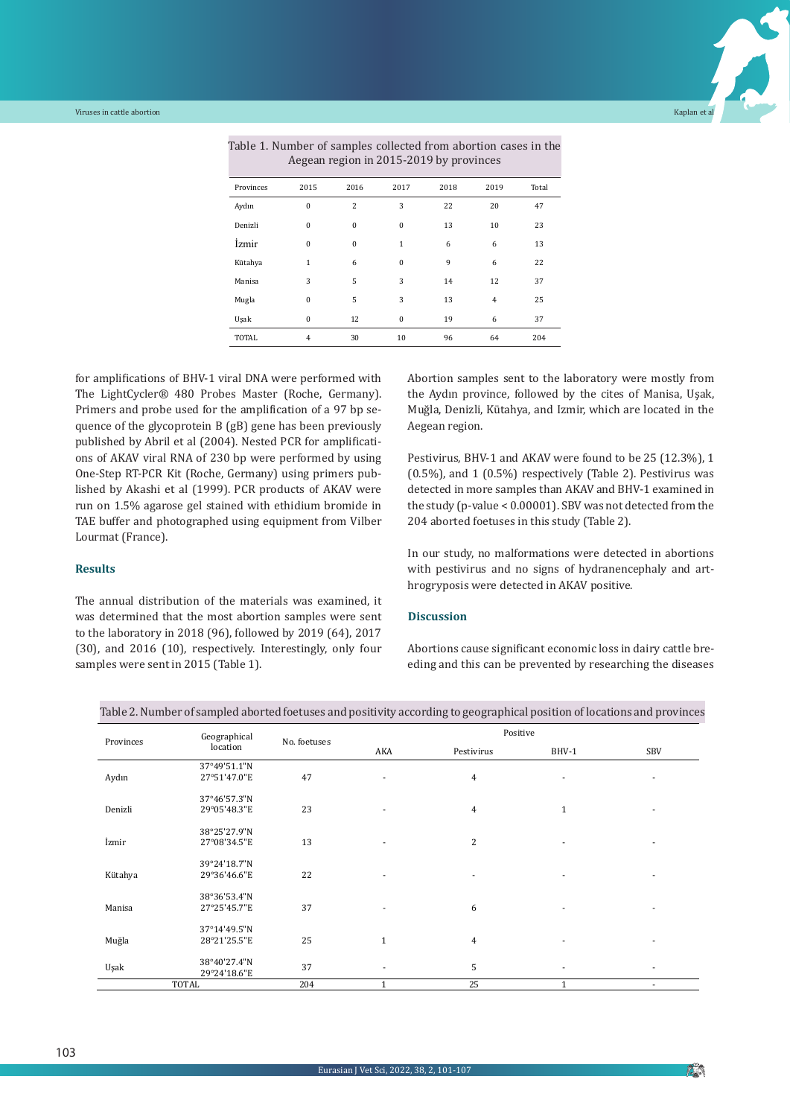

|              |              |          | $1.080$ and $1.081$ and $1.01$ and $1.00$ and $1.00$ and $1.00$ and $1.00$ and $1.00$ and $1.00$ and $1.00$ and $1.00$ and $1.00$ and $1.00$ and $1.00$ and $1.00$ and $1.00$ and $1.00$ and $1.00$ and $1.00$ and $1.00$ and |      |      |       |
|--------------|--------------|----------|-------------------------------------------------------------------------------------------------------------------------------------------------------------------------------------------------------------------------------|------|------|-------|
| Provinces    | 2015         | 2016     | 2017                                                                                                                                                                                                                          | 2018 | 2019 | Total |
| Aydın        | $\mathbf{0}$ | 2        | 3                                                                                                                                                                                                                             | 22   | 20   | 47    |
| Denizli      | $\mathbf{0}$ | $\bf{0}$ | $\bf{0}$                                                                                                                                                                                                                      | 13   | 10   | 23    |
| İzmir        | $\mathbf{0}$ | $\bf{0}$ | $\mathbf{1}$                                                                                                                                                                                                                  | 6    | 6    | 13    |
| Kütahya      | $\mathbf{1}$ | 6        | $\bf{0}$                                                                                                                                                                                                                      | 9    | 6    | 22    |
| Manisa       | 3            | 5        | 3                                                                                                                                                                                                                             | 14   | 12   | 37    |
| Mugla        | $\bf{0}$     | 5        | 3                                                                                                                                                                                                                             | 13   | 4    | 25    |
| Uşak         | $\mathbf{0}$ | 12       | $\mathbf{0}$                                                                                                                                                                                                                  | 19   | 6    | 37    |
| <b>TOTAL</b> | 4            | 30       | 10                                                                                                                                                                                                                            | 96   | 64   | 204   |

Table 1. Number of samples collected from abortion cases in the Aegean region in 2015-2019 by provinces

for amplifications of BHV-1 viral DNA were performed with The LightCycler® 480 Probes Master (Roche, Germany). Primers and probe used for the amplification of a 97 bp sequence of the glycoprotein B (gB) gene has been previously published by Abril et al (2004). Nested PCR for amplifications of AKAV viral RNA of 230 bp were performed by using One-Step RT-PCR Kit (Roche, Germany) using primers published by Akashi et al (1999). PCR products of AKAV were run on 1.5% agarose gel stained with ethidium bromide in TAE buffer and photographed using equipment from Vilber Lourmat (France).

#### **Results**

The annual distribution of the materials was examined, it was determined that the most abortion samples were sent to the laboratory in 2018 (96), followed by 2019 (64), 2017 (30), and 2016 (10), respectively. Interestingly, only four samples were sent in 2015 (Table 1).

Abortion samples sent to the laboratory were mostly from the Aydın province, followed by the cites of Manisa, Uşak, Muğla, Denizli, Kütahya, and Izmir, which are located in the Aegean region.

Pestivirus, BHV-1 and AKAV were found to be 25 (12.3%), 1 (0.5%), and 1 (0.5%) respectively (Table 2). Pestivirus was detected in more samples than AKAV and BHV-1 examined in the study (p-value < 0.00001). SBV was not detected from the 204 aborted foetuses in this study (Table 2).

In our study, no malformations were detected in abortions with pestivirus and no signs of hydranencephaly and arthrogryposis were detected in AKAV positive.

#### **Discussion**

Abortions cause significant economic loss in dairy cattle breeding and this can be prevented by researching the diseases

| Provinces    | Geographical                 | No. foetuses | Positive       |                          |                          |            |
|--------------|------------------------------|--------------|----------------|--------------------------|--------------------------|------------|
|              | location                     |              | AKA            | Pestivirus               | BHV-1                    | <b>SBV</b> |
|              | 37°49'51.1"N                 |              |                |                          |                          |            |
| Aydın        | 27°51'47.0"E                 | 47           | ٠              | $\overline{4}$           | ٠                        |            |
|              | 37°46'57.3"N                 |              |                |                          |                          |            |
| Denizli      | 29°05'48.3"E                 | 23           | $\blacksquare$ | $\overline{4}$           | $\mathbf{1}$             |            |
|              | 38°25'27.9"N                 |              |                |                          |                          |            |
| İzmir        | 27°08'34.5"E                 | 13           | ٠              | 2                        |                          |            |
|              | 39°24'18.7"N                 |              |                |                          |                          |            |
| Kütahya      | 29°36'46.6"E                 | 22           | $\blacksquare$ | $\overline{\phantom{a}}$ | $\overline{\phantom{a}}$ | ٠          |
|              | 38°36'53.4"N                 |              |                |                          |                          |            |
| Manisa       | 27°25'45.7"E                 | 37           | ٠              | 6                        | ٠                        |            |
|              | 37°14'49.5"N                 |              |                |                          |                          |            |
| Muğla        | 28°21'25.5"E                 | 25           | $\mathbf{1}$   | $\overline{4}$           | ٠                        | ۰          |
| Uşak         | 38°40'27.4"N<br>29°24'18.6"E | 37           | ٠              | 5                        | ٠                        | ٠          |
| <b>TOTAL</b> |                              | 204          | $\mathbf{1}$   | 25                       | $\mathbf{1}$             |            |

Table 2.Number of sampled aborted foetuses and positivity according to geographical position of locations and provinces

**PO**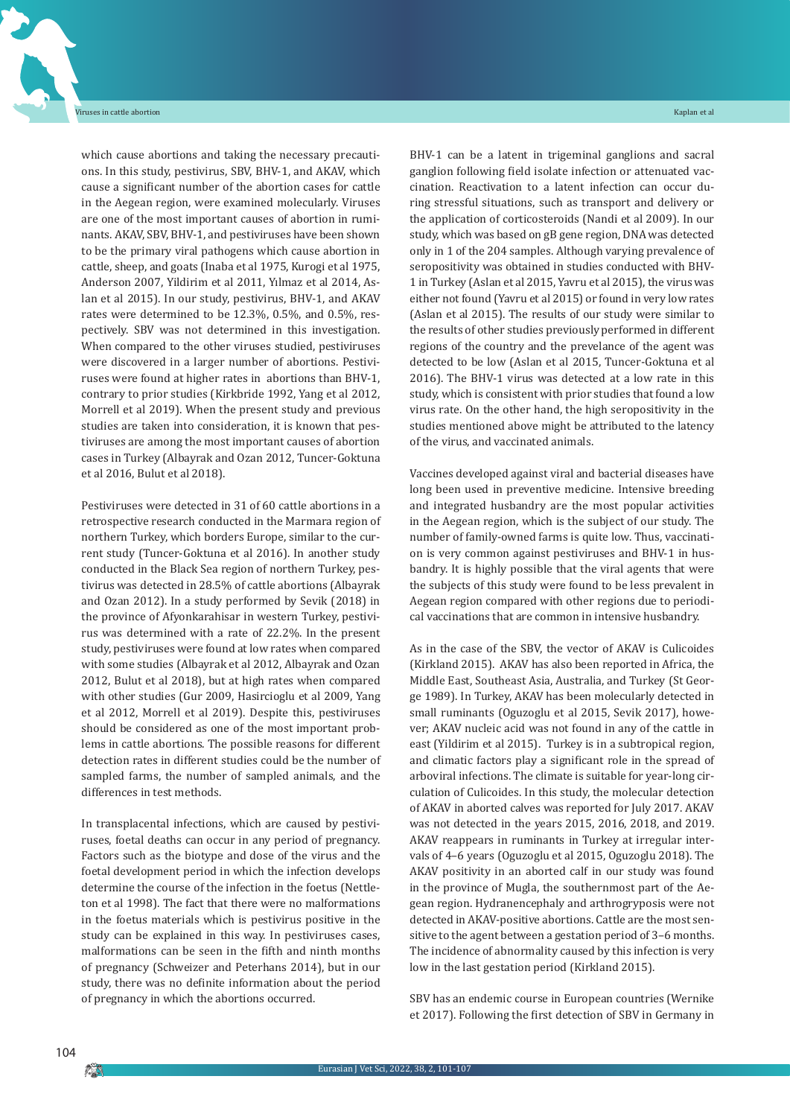which cause abortions and taking the necessary precautions. In this study, pestivirus, SBV, BHV-1, and AKAV, which cause a significant number of the abortion cases for cattle in the Aegean region, were examined molecularly. Viruses are one of the most important causes of abortion in ruminants. AKAV, SBV, BHV-1, and pestiviruses have been shown to be the primary viral pathogens which cause abortion in cattle, sheep, and goats (Inaba et al 1975, Kurogi et al 1975, Anderson 2007, Yildirim et al 2011, Yılmaz et al 2014, Aslan et al 2015). In our study, pestivirus, BHV-1, and AKAV rates were determined to be 12.3%, 0.5%, and 0.5%, respectively. SBV was not determined in this investigation. When compared to the other viruses studied, pestiviruses were discovered in a larger number of abortions. Pestiviruses were found at higher rates in abortions than BHV-1, contrary to prior studies (Kirkbride 1992, Yang et al 2012, Morrell et al 2019). When the present study and previous studies are taken into consideration, it is known that pestiviruses are among the most important causes of abortion cases in Turkey (Albayrak and Ozan 2012, Tuncer-Goktuna et al 2016, Bulut et al 2018).

Pestiviruses were detected in 31 of 60 cattle abortions in a retrospective research conducted in the Marmara region of northern Turkey, which borders Europe, similar to the current study (Tuncer-Goktuna et al 2016). In another study conducted in the Black Sea region of northern Turkey, pestivirus was detected in 28.5% of cattle abortions (Albayrak and Ozan 2012). In a study performed by Sevik (2018) in the province of Afyonkarahisar in western Turkey, pestivirus was determined with a rate of 22.2%. In the present study, pestiviruses were found at low rates when compared with some studies (Albayrak et al 2012, Albayrak and Ozan 2012, Bulut et al 2018), but at high rates when compared with other studies (Gur 2009, Hasircioglu et al 2009, Yang et al 2012, Morrell et al 2019). Despite this, pestiviruses should be considered as one of the most important problems in cattle abortions. The possible reasons for different detection rates in different studies could be the number of sampled farms, the number of sampled animals, and the differences in test methods.

In transplacental infections, which are caused by pestiviruses, foetal deaths can occur in any period of pregnancy. Factors such as the biotype and dose of the virus and the foetal development period in which the infection develops determine the course of the infection in the foetus (Nettleton et al 1998). The fact that there were no malformations in the foetus materials which is pestivirus positive in the study can be explained in this way. In pestiviruses cases, malformations can be seen in the fifth and ninth months of pregnancy (Schweizer and Peterhans 2014), but in our study, there was no definite information about the period of pregnancy in which the abortions occurred.

BHV-1 can be a latent in trigeminal ganglions and sacral ganglion following field isolate infection or attenuated vaccination. Reactivation to a latent infection can occur during stressful situations, such as transport and delivery or the application of corticosteroids (Nandi et al 2009). In our study, which was based on gB gene region, DNA was detected only in 1 of the 204 samples. Although varying prevalence of seropositivity was obtained in studies conducted with BHV-1 in Turkey (Aslan et al 2015, Yavru et al 2015), the virus was either not found (Yavru et al 2015) or found in very low rates (Aslan et al 2015). The results of our study were similar to the results of other studies previously performed in different regions of the country and the prevelance of the agent was detected to be low (Aslan et al 2015, Tuncer-Goktuna et al 2016). The BHV-1 virus was detected at a low rate in this study, which is consistent with prior studies that found a low virus rate. On the other hand, the high seropositivity in the studies mentioned above might be attributed to the latency of the virus, and vaccinated animals.

Vaccines developed against viral and bacterial diseases have long been used in preventive medicine. Intensive breeding and integrated husbandry are the most popular activities in the Aegean region, which is the subject of our study. The number of family-owned farms is quite low. Thus, vaccination is very common against pestiviruses and BHV-1 in husbandry. It is highly possible that the viral agents that were the subjects of this study were found to be less prevalent in Aegean region compared with other regions due to periodical vaccinations that are common in intensive husbandry.

As in the case of the SBV, the vector of AKAV is Culicoides (Kirkland 2015). AKAV has also been reported in Africa, the Middle East, Southeast Asia, Australia, and Turkey (St George 1989). In Turkey, AKAV has been molecularly detected in small ruminants (Oguzoglu et al 2015, Sevik 2017), however; AKAV nucleic acid was not found in any of the cattle in east (Yildirim et al 2015). Turkey is in a subtropical region, and climatic factors play a significant role in the spread of arboviral infections. The climate is suitable for year-long circulation of Culicoides. In this study, the molecular detection of AKAV in aborted calves was reported for July 2017. AKAV was not detected in the years 2015, 2016, 2018, and 2019. AKAV reappears in ruminants in Turkey at irregular intervals of 4–6 years (Oguzoglu et al 2015, Oguzoglu 2018). The AKAV positivity in an aborted calf in our study was found in the province of Mugla, the southernmost part of the Aegean region. Hydranencephaly and arthrogryposis were not detected in AKAV-positive abortions. Cattle are the most sensitive to the agent between a gestation period of 3–6 months. The incidence of abnormality caused by this infection is very low in the last gestation period (Kirkland 2015).

SBV has an endemic course in European countries (Wernike et 2017). Following the first detection of SBV in Germany in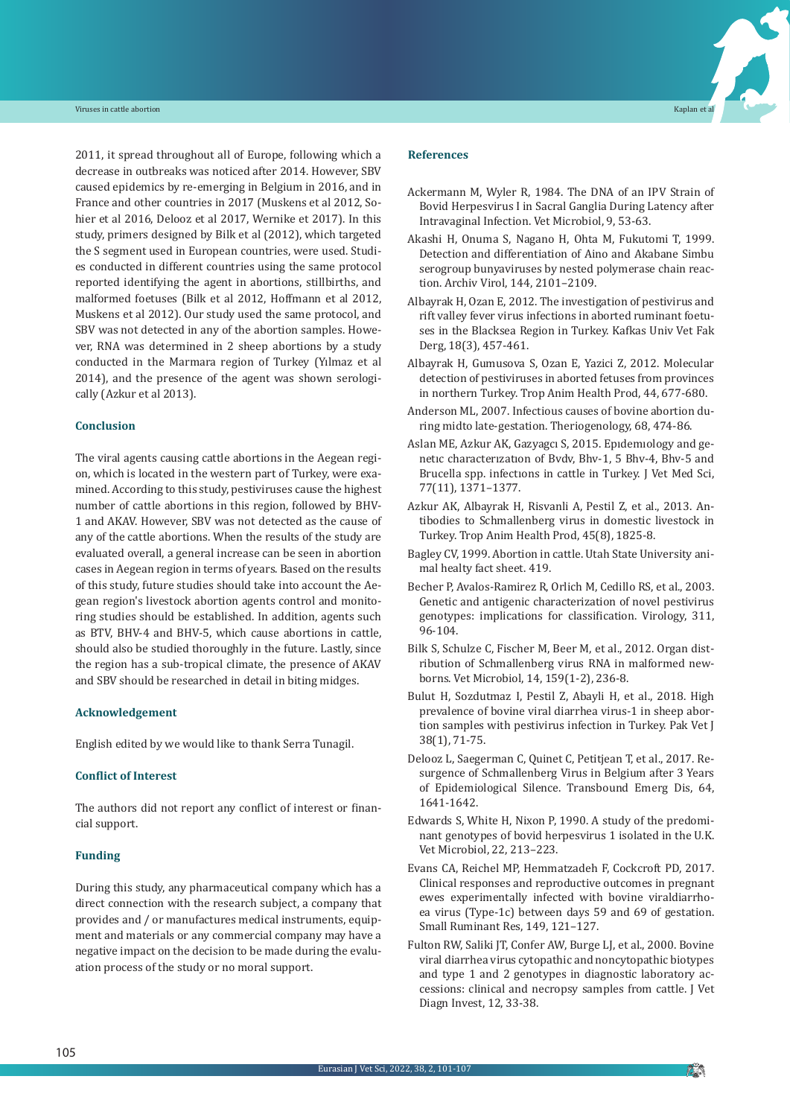2011, it spread throughout all of Europe, following which a decrease in outbreaks was noticed after 2014. However, SBV caused epidemics by re-emerging in Belgium in 2016, and in France and other countries in 2017 (Muskens et al 2012, Sohier et al 2016, Delooz et al 2017, Wernike et 2017). In this study, primers designed by Bilk et al (2012), which targeted the S segment used in European countries, were used. Studies conducted in different countries using the same protocol reported identifying the agent in abortions, stillbirths, and malformed foetuses (Bilk et al 2012, Hoffmann et al 2012, Muskens et al 2012). Our study used the same protocol, and SBV was not detected in any of the abortion samples. However, RNA was determined in 2 sheep abortions by a study conducted in the Marmara region of Turkey (Yılmaz et al 2014), and the presence of the agent was shown serologically (Azkur et al 2013).

#### **Conclusion**

The viral agents causing cattle abortions in the Aegean region, which is located in the western part of Turkey, were examined. According to this study, pestiviruses cause the highest number of cattle abortions in this region, followed by BHV-1 and AKAV. However, SBV was not detected as the cause of any of the cattle abortions. When the results of the study are evaluated overall, a general increase can be seen in abortion cases in Aegean region in terms of years. Based on the results of this study, future studies should take into account the Aegean region's livestock abortion agents control and monitoring studies should be established. In addition, agents such as BTV, BHV-4 and BHV-5, which cause abortions in cattle, should also be studied thoroughly in the future. Lastly, since the region has a sub-tropical climate, the presence of AKAV and SBV should be researched in detail in biting midges.

#### **Acknowledgement**

English edited by we would like to thank Serra Tunagil.

#### **Conflict of Interest**

The authors did not report any conflict of interest or financial support.

#### **Funding**

During this study, any pharmaceutical company which has a direct connection with the research subject, a company that provides and / or manufactures medical instruments, equipment and materials or any commercial company may have a negative impact on the decision to be made during the evaluation process of the study or no moral support.

#### **References**

- Ackermann M, Wyler R, 1984. The DNA of an IPV Strain of Bovid Herpesvirus I in Sacral Ganglia During Latency after Intravaginal Infection. Vet Microbiol, 9, 53-63.
- Akashi H, Onuma S, Nagano H, Ohta M, Fukutomi T, 1999. Detection and differentiation of Aino and Akabane Simbu serogroup bunyaviruses by nested polymerase chain reaction. Archiv Virol, 144, 2101–2109.
- Albayrak H, Ozan E, 2012. The investigation of pestivirus and rift valley fever virus infections in aborted ruminant foetuses in the Blacksea Region in Turkey. Kafkas Univ Vet Fak Derg, 18(3), 457-461.
- Albayrak H, Gumusova S, Ozan E, Yazici Z, 2012. Molecular detection of pestiviruses in aborted fetuses from provinces in northern Turkey. Trop Anim Health Prod, 44, 677-680.
- Anderson ML, 2007. Infectious causes of bovine abortion during midto late-gestation. Theriogenology, 68, 474-86.
- Aslan ME, Azkur AK, Gazyagcı S, 2015. Epıdemıology and genetıc characterızatıon of Bvdv, Bhv-1, 5 Bhv-4, Bhv-5 and Brucella spp. infectıons in cattle in Turkey. J Vet Med Sci, 77(11), 1371–1377.
- Azkur AK, Albayrak H, Risvanli A, Pestil Z, et al., 2013. Antibodies to Schmallenberg virus in domestic livestock in Turkey. Trop Anim Health Prod, 45(8), 1825-8.
- Bagley CV, 1999. Abortion in cattle. Utah State University animal healty fact sheet. 419.
- Becher P, Avalos-Ramirez R, Orlich M, Cedillo RS, et al., 2003. Genetic and antigenic characterization of novel pestivirus genotypes: implications for classification. Virology, 311, 96-104.
- Bilk S, Schulze C, Fischer M, Beer M, et al., 2012. Organ distribution of Schmallenberg virus RNA in malformed newborns. Vet Microbiol, 14, 159(1-2), 236-8.
- Bulut H, Sozdutmaz I, Pestil Z, Abayli H, et al., 2018. High prevalence of bovine viral diarrhea virus-1 in sheep abortion samples with pestivirus infection in Turkey. Pak Vet J 38(1), 71-75.
- Delooz L, Saegerman C, Quinet C, Petitjean T, et al., 2017. Resurgence of Schmallenberg Virus in Belgium after 3 Years of Epidemiological Silence. Transbound Emerg Dis, 64, 1641-1642.
- Edwards S, White H, Nixon P, 1990. A study of the predominant genotypes of bovid herpesvirus 1 isolated in the U.K. Vet Microbiol, 22, 213–223.
- Evans CA, Reichel MP, Hemmatzadeh F, Cockcroft PD, 2017. Clinical responses and reproductive outcomes in pregnant ewes experimentally infected with bovine viraldiarrhoea virus (Type-1c) between days 59 and 69 of gestation. Small Ruminant Res, 149, 121–127.
- Fulton RW, Saliki JT, Confer AW, Burge LJ, et al., 2000. Bovine viral diarrhea virus cytopathic and noncytopathic biotypes and type 1 and 2 genotypes in diagnostic laboratory accessions: clinical and necropsy samples from cattle. J Vet Diagn Invest, 12, 33-38.

**Pin**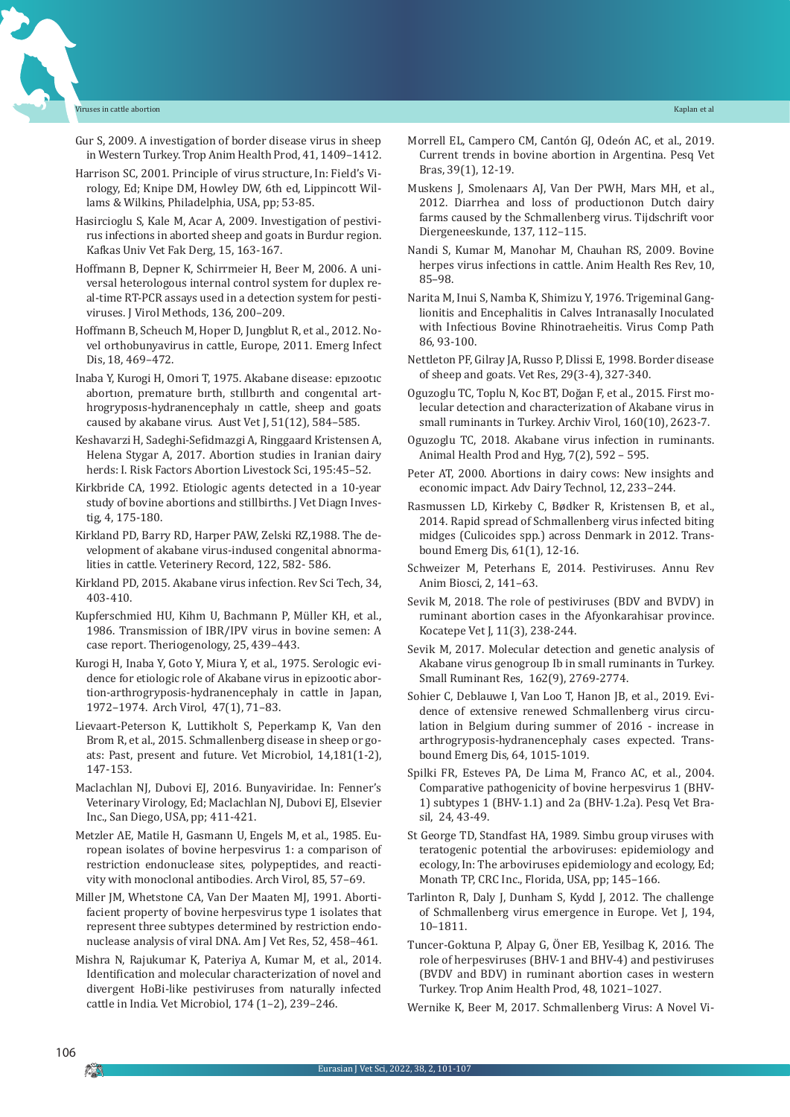- Gur S, 2009. A investigation of border disease virus in sheep in Western Turkey. Trop Anim Health Prod, 41, 1409–1412.
- Harrison SC, 2001. Principle of virus structure, In: Field's Virology, Ed; Knipe DM, Howley DW, 6th ed, Lippincott Willams & Wilkins, Philadelphia, USA, pp; 53-85.
- Hasircioglu S, Kale M, Acar A, 2009. Investigation of pestivirus infections in aborted sheep and goats in Burdur region. Kafkas Univ Vet Fak Derg, 15, 163-167.
- Hoffmann B, Depner K, Schirrmeier H, Beer M, 2006. A universal heterologous internal control system for duplex real-time RT-PCR assays used in a detection system for pestiviruses. J Virol Methods, 136, 200–209.
- Hoffmann B, Scheuch M, Hoper D, Jungblut R, et al., 2012. Novel orthobunyavirus in cattle, Europe, 2011. Emerg Infect Dis, 18, 469–472.
- Inaba Y, Kurogi H, Omori T, 1975. Akabane disease: epızootıc abortıon, premature bırth, stıllbırth and congenıtal arthrogryposıs-hydranencephaly ın cattle, sheep and goats caused by akabane virus. Aust Vet J, 51(12), 584–585.
- Keshavarzi H, Sadeghi-Sefidmazgi A, Ringgaard Kristensen A, Helena Stygar A, 2017. Abortion studies in Iranian dairy herds: I. Risk Factors Abortion Livestock Sci, 195:45–52.
- Kirkbride CA, 1992. Etiologic agents detected in a 10-year study of bovine abortions and stillbirths. J Vet Diagn Investig, 4, 175-180.
- Kirkland PD, Barry RD, Harper PAW, Zelski RZ,1988. The development of akabane virus-indused congenital abnormalities in cattle. Veterinery Record, 122, 582- 586.
- Kirkland PD, 2015. Akabane virus infection. Rev Sci Tech, 34, 403-410.
- Kupferschmied HU, Kihm U, Bachmann P, Müller KH, et al., 1986. Transmission of IBR/IPV virus in bovine semen: A case report. Theriogenology, 25, 439–443.
- Kurogi H, Inaba Y, Goto Y, Miura Y, et al., 1975. Serologic evidence for etiologic role of Akabane virus in epizootic abortion-arthrogryposis-hydranencephaly in cattle in Japan, 1972–1974. Arch Virol, 47(1), 71–83.
- Lievaart-Peterson K, Luttikholt S, Peperkamp K, Van den Brom R, et al., 2015. Schmallenberg disease in sheep or goats: Past, present and future. Vet Microbiol, 14,181(1-2), 147-153.
- Maclachlan NJ, Dubovi EJ, 2016. Bunyaviridae. In: Fenner's Veterinary Virology, Ed; Maclachlan NJ, Dubovi EJ, Elsevier Inc., San Diego, USA, pp; 411-421.
- Metzler AE, Matile H, Gasmann U, Engels M, et al., 1985. European isolates of bovine herpesvirus 1: a comparison of restriction endonuclease sites, polypeptides, and reactivity with monoclonal antibodies. Arch Virol, 85, 57–69.
- Miller JM, Whetstone CA, Van Der Maaten MJ, 1991. Abortifacient property of bovine herpesvirus type 1 isolates that represent three subtypes determined by restriction endonuclease analysis of viral DNA. Am J Vet Res, 52, 458–461.
- Mishra N, Rajukumar K, Pateriya A, Kumar M, et al., 2014. Identification and molecular characterization of novel and divergent HoBi-like pestiviruses from naturally infected cattle in India. Vet Microbiol, 174 (1–2), 239–246.
- Morrell EL, Campero CM, Cantón GJ, Odeón AC, et al., 2019. Current trends in bovine abortion in Argentina. Pesq Vet Bras, 39(1), 12-19.
- Muskens J, Smolenaars AJ, Van Der PWH, Mars MH, et al., 2012. Diarrhea and loss of productionon Dutch dairy farms caused by the Schmallenberg virus. Tijdschrift voor Diergeneeskunde, 137, 112–115.
- Nandi S, Kumar M, Manohar M, Chauhan RS, 2009. Bovine herpes virus infections in cattle. Anim Health Res Rev, 10, 85–98.
- Narita M, Inui S, Namba K, Shimizu Y, 1976. Trigeminal Ganglionitis and Encephalitis in Calves Intranasally Inoculated with Infectious Bovine Rhinotraeheitis. Virus Comp Path 86, 93-100.
- Nettleton PF, Gilray JA, Russo P, Dlissi E, 1998. Border disease of sheep and goats. Vet Res, 29(3-4), 327-340.
- Oguzoglu TC, Toplu N, Koc BT, Doğan F, et al., 2015. First molecular detection and characterization of Akabane virus in small ruminants in Turkey. Archiv Virol, 160(10), 2623-7.
- Oguzoglu TC, 2018. Akabane virus infection in ruminants. Animal Health Prod and Hyg, 7(2), 592 – 595.
- Peter AT, 2000. Abortions in dairy cows: New insights and economic impact. Adv Dairy Technol, 12, 233-244.
- Rasmussen LD, Kirkeby C, Bødker R, Kristensen B, et al., 2014. Rapid spread of Schmallenberg virus infected biting midges (Culicoides spp.) across Denmark in 2012. Transbound Emerg Dis, 61(1), 12-16.
- Schweizer M, Peterhans E, 2014. Pestiviruses. Annu Rev Anim Biosci, 2, 141–63.
- Sevik M, 2018. The role of pestiviruses (BDV and BVDV) in ruminant abortion cases in the Afyonkarahisar province. Kocatepe Vet J, 11(3), 238-244.
- Sevik M, 2017. Molecular detection and genetic analysis of Akabane virus genogroup Ib in small ruminants in Turkey. Small Ruminant Res, 162(9), 2769-2774.
- Sohier C, Deblauwe I, Van Loo T, Hanon JB, et al., 2019. Evidence of extensive renewed Schmallenberg virus circulation in Belgium during summer of 2016 - increase in arthrogryposis-hydranencephaly cases expected. Transbound Emerg Dis, 64, 1015-1019.
- Spilki FR, Esteves PA, De Lima M, Franco AC, et al., 2004. Comparative pathogenicity of bovine herpesvirus 1 (BHV-1) subtypes 1 (BHV-1.1) and 2a (BHV-1.2a). Pesq Vet Brasil, 24, 43-49.
- St George TD, Standfast HA, 1989. Simbu group viruses with teratogenic potential the arboviruses: epidemiology and ecology, In: The arboviruses epidemiology and ecology, Ed; Monath TP, CRC Inc., Florida, USA, pp; 145–166.
- Tarlinton R, Daly J, Dunham S, Kydd J, 2012. The challenge of Schmallenberg virus emergence in Europe. Vet J, 194, 10–1811.
- Tuncer-Goktuna P, Alpay G, Öner EB, Yesilbag K, 2016. The role of herpesviruses (BHV-1 and BHV-4) and pestiviruses (BVDV and BDV) in ruminant abortion cases in western Turkey. Trop Anim Health Prod, 48, 1021–1027.
- Wernike K, Beer M, 2017. Schmallenberg Virus: A Novel Vi-

106